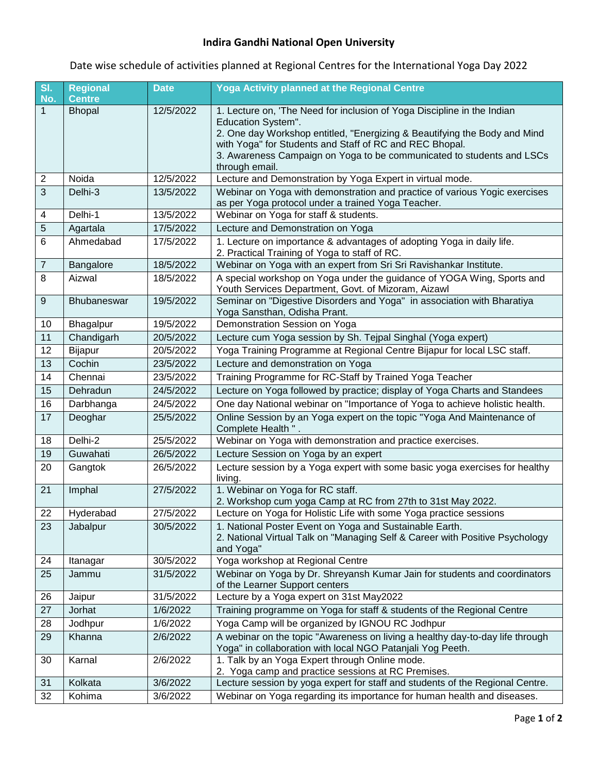## **Indira Gandhi National Open University**

Date wise schedule of activities planned at Regional Centres for the International Yoga Day 2022

| SI.<br>No.       | <b>Regional</b><br><b>Centre</b> | <b>Date</b> | <b>Yoga Activity planned at the Regional Centre</b>                                                                                                                                                                                                                                                                              |
|------------------|----------------------------------|-------------|----------------------------------------------------------------------------------------------------------------------------------------------------------------------------------------------------------------------------------------------------------------------------------------------------------------------------------|
| 1                | <b>Bhopal</b>                    | 12/5/2022   | 1. Lecture on, 'The Need for inclusion of Yoga Discipline in the Indian<br>Education System".<br>2. One day Workshop entitled, "Energizing & Beautifying the Body and Mind<br>with Yoga" for Students and Staff of RC and REC Bhopal.<br>3. Awareness Campaign on Yoga to be communicated to students and LSCs<br>through email. |
| $\overline{2}$   | Noida                            | 12/5/2022   | Lecture and Demonstration by Yoga Expert in virtual mode.                                                                                                                                                                                                                                                                        |
| 3                | Delhi-3                          | 13/5/2022   | Webinar on Yoga with demonstration and practice of various Yogic exercises<br>as per Yoga protocol under a trained Yoga Teacher.                                                                                                                                                                                                 |
| 4                | Delhi-1                          | 13/5/2022   | Webinar on Yoga for staff & students.                                                                                                                                                                                                                                                                                            |
| 5                | Agartala                         | 17/5/2022   | Lecture and Demonstration on Yoga                                                                                                                                                                                                                                                                                                |
| 6                | Ahmedabad                        | 17/5/2022   | 1. Lecture on importance & advantages of adopting Yoga in daily life.<br>2. Practical Training of Yoga to staff of RC.                                                                                                                                                                                                           |
| $\boldsymbol{7}$ | Bangalore                        | 18/5/2022   | Webinar on Yoga with an expert from Sri Sri Ravishankar Institute.                                                                                                                                                                                                                                                               |
| 8                | Aizwal                           | 18/5/2022   | A special workshop on Yoga under the guidance of YOGA Wing, Sports and<br>Youth Services Department, Govt. of Mizoram, Aizawl                                                                                                                                                                                                    |
| 9                | Bhubaneswar                      | 19/5/2022   | Seminar on "Digestive Disorders and Yoga" in association with Bharatiya<br>Yoga Sansthan, Odisha Prant.                                                                                                                                                                                                                          |
| 10               | Bhagalpur                        | 19/5/2022   | Demonstration Session on Yoga                                                                                                                                                                                                                                                                                                    |
| 11               | Chandigarh                       | 20/5/2022   | Lecture cum Yoga session by Sh. Tejpal Singhal (Yoga expert)                                                                                                                                                                                                                                                                     |
| 12               | Bijapur                          | 20/5/2022   | Yoga Training Programme at Regional Centre Bijapur for local LSC staff.                                                                                                                                                                                                                                                          |
| 13               | Cochin                           | 23/5/2022   | Lecture and demonstration on Yoga                                                                                                                                                                                                                                                                                                |
| 14               | Chennai                          | 23/5/2022   | Training Programme for RC-Staff by Trained Yoga Teacher                                                                                                                                                                                                                                                                          |
| 15               | Dehradun                         | 24/5/2022   | Lecture on Yoga followed by practice; display of Yoga Charts and Standees                                                                                                                                                                                                                                                        |
| 16               | Darbhanga                        | 24/5/2022   | One day National webinar on "Importance of Yoga to achieve holistic health.                                                                                                                                                                                                                                                      |
| 17               | Deoghar                          | 25/5/2022   | Online Session by an Yoga expert on the topic "Yoga And Maintenance of<br>Complete Health ".                                                                                                                                                                                                                                     |
| 18               | Delhi-2                          | 25/5/2022   | Webinar on Yoga with demonstration and practice exercises.                                                                                                                                                                                                                                                                       |
| 19               | Guwahati                         | 26/5/2022   | Lecture Session on Yoga by an expert                                                                                                                                                                                                                                                                                             |
| 20               | Gangtok                          | 26/5/2022   | Lecture session by a Yoga expert with some basic yoga exercises for healthy<br>living.                                                                                                                                                                                                                                           |
| 21               | Imphal                           | 27/5/2022   | 1. Webinar on Yoga for RC staff.<br>2. Workshop cum yoga Camp at RC from 27th to 31st May 2022.                                                                                                                                                                                                                                  |
| 22               | Hyderabad                        | 27/5/2022   | Lecture on Yoga for Holistic Life with some Yoga practice sessions                                                                                                                                                                                                                                                               |
| 23               | Jabalpur                         | 30/5/2022   | 1. National Poster Event on Yoga and Sustainable Earth.<br>2. National Virtual Talk on "Managing Self & Career with Positive Psychology<br>and Yoga"                                                                                                                                                                             |
| 24               | Itanagar                         | 30/5/2022   | Yoga workshop at Regional Centre                                                                                                                                                                                                                                                                                                 |
| 25               | Jammu                            | 31/5/2022   | Webinar on Yoga by Dr. Shreyansh Kumar Jain for students and coordinators<br>of the Learner Support centers                                                                                                                                                                                                                      |
| 26               | Jaipur                           | 31/5/2022   | Lecture by a Yoga expert on 31st May2022                                                                                                                                                                                                                                                                                         |
| 27               | Jorhat                           | 1/6/2022    | Training programme on Yoga for staff & students of the Regional Centre                                                                                                                                                                                                                                                           |
| 28               | Jodhpur                          | 1/6/2022    | Yoga Camp will be organized by IGNOU RC Jodhpur                                                                                                                                                                                                                                                                                  |
| 29               | Khanna                           | 2/6/2022    | A webinar on the topic "Awareness on living a healthy day-to-day life through<br>Yoga" in collaboration with local NGO Patanjali Yog Peeth.                                                                                                                                                                                      |
| 30               | Karnal                           | 2/6/2022    | 1. Talk by an Yoga Expert through Online mode.<br>2. Yoga camp and practice sessions at RC Premises.                                                                                                                                                                                                                             |
| 31               | Kolkata                          | 3/6/2022    | Lecture session by yoga expert for staff and students of the Regional Centre.                                                                                                                                                                                                                                                    |
| 32               | Kohima                           | 3/6/2022    | Webinar on Yoga regarding its importance for human health and diseases.                                                                                                                                                                                                                                                          |